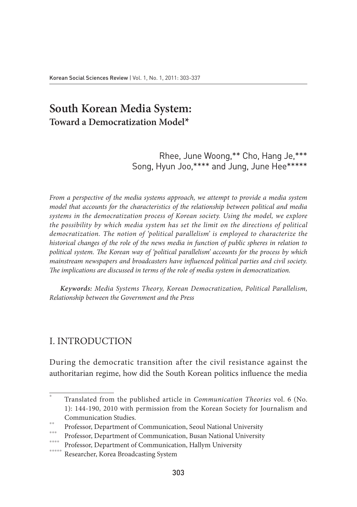# **South Korean Media System: Toward a Democratization Model\***

Rhee, June Woong,\*\* Cho, Hang Je,\*\*\* Song, Hyun Joo,\*\*\*\* and Jung, June Hee\*\*\*\*\*

*From a perspective of the media systems approach, we attempt to provide a media system model that accounts for the characteristics of the relationship between political and media systems in the democratization process of Korean society. Using the model, we explore the possibility by which media system has set the limit on the directions of political democratization. The notion of 'political parallelism' is employed to characterize the historical changes of the role of the news media in function of public spheres in relation to political system. The Korean way of 'political parallelism' accounts for the process by which mainstream newspapers and broadcasters have influenced political parties and civil society. The implications are discussed in terms of the role of media system in democratization.*

*Keywords: Media Systems Theory, Korean Democratization, Political Parallelism, Relationship between the Government and the Press*

# I. Introduction

During the democratic transition after the civil resistance against the authoritarian regime, how did the South Korean politics influence the media

<sup>\*</sup> Translated from the published article in *Communication Theories* vol. 6 (No. 1): 144-190, 2010 with permission from the Korean Society for Journalism and Communication Studies.

Professor, Department of Communication, Seoul National University

Professor, Department of Communication, Busan National University

Professor, Department of Communication, Hallym University

Researcher, Korea Broadcasting System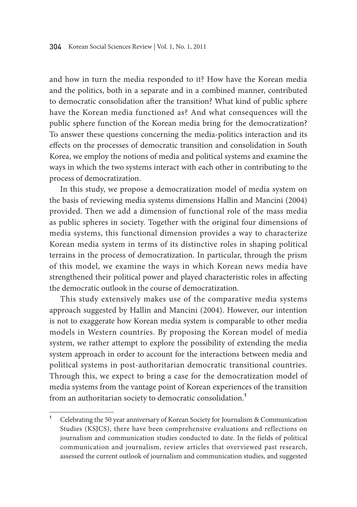and how in turn the media responded to it? How have the Korean media and the politics, both in a separate and in a combined manner, contributed to democratic consolidation after the transition? What kind of public sphere have the Korean media functioned as? And what consequences will the public sphere function of the Korean media bring for the democratization? To answer these questions concerning the media-politics interaction and its effects on the processes of democratic transition and consolidation in South Korea, we employ the notions of media and political systems and examine the ways in which the two systems interact with each other in contributing to the process of democratization.

In this study, we propose a democratization model of media system on the basis of reviewing media systems dimensions Hallin and Mancini (2004) provided. Then we add a dimension of functional role of the mass media as public spheres in society. Together with the original four dimensions of media systems, this functional dimension provides a way to characterize Korean media system in terms of its distinctive roles in shaping political terrains in the process of democratization. In particular, through the prism of this model, we examine the ways in which Korean news media have strengthened their political power and played characteristic roles in affecting the democratic outlook in the course of democratization.

This study extensively makes use of the comparative media systems approach suggested by Hallin and Mancini (2004). However, our intention is not to exaggerate how Korean media system is comparable to other media models in Western countries. By proposing the Korean model of media system, we rather attempt to explore the possibility of extending the media system approach in order to account for the interactions between media and political systems in post-authoritarian democratic transitional countries. Through this, we expect to bring a case for the democratization model of media systems from the vantage point of Korean experiences of the transition from an authoritarian society to democratic consolidation.**<sup>1</sup>**

**<sup>1</sup>** Celebrating the 50 year anniversary of Korean Society for Journalism & Communication Studies (KSJCS), there have been comprehensive evaluations and reflections on journalism and communication studies conducted to date. In the fields of political communication and journalism, review articles that overviewed past research, assessed the current outlook of journalism and communication studies, and suggested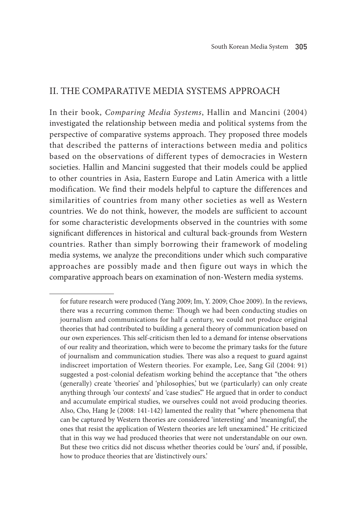# II. The Comparative Media Systems Approach

In their book, *Comparing Media Systems*, Hallin and Mancini (2004) investigated the relationship between media and political systems from the perspective of comparative systems approach. They proposed three models that described the patterns of interactions between media and politics based on the observations of different types of democracies in Western societies. Hallin and Mancini suggested that their models could be applied to other countries in Asia, Eastern Europe and Latin America with a little modification. We find their models helpful to capture the differences and similarities of countries from many other societies as well as Western countries. We do not think, however, the models are sufficient to account for some characteristic developments observed in the countries with some significant differences in historical and cultural back-grounds from Western countries. Rather than simply borrowing their framework of modeling media systems, we analyze the preconditions under which such comparative approaches are possibly made and then figure out ways in which the comparative approach bears on examination of non-Western media systems.

for future research were produced (Yang 2009; Im, Y. 2009; Choe 2009). In the reviews, there was a recurring common theme: Though we had been conducting studies on journalism and communications for half a century, we could not produce original theories that had contributed to building a general theory of communication based on our own experiences. This self-criticism then led to a demand for intense observations of our reality and theorization, which were to become the primary tasks for the future of journalism and communication studies. There was also a request to guard against indiscreet importation of Western theories. For example, Lee, Sang Gil (2004: 91) suggested a post-colonial defeatism working behind the acceptance that "the others (generally) create 'theories' and 'philosophies,' but we (particularly) can only create anything through 'our contexts' and 'case studies." He argued that in order to conduct and accumulate empirical studies, we ourselves could not avoid producing theories. Also, Cho, Hang Je (2008: 141-142) lamented the reality that "where phenomena that can be captured by Western theories are considered 'interesting' and 'meaningful', the ones that resist the application of Western theories are left unexamined." He criticized that in this way we had produced theories that were not understandable on our own. But these two critics did not discuss whether theories could be 'ours' and, if possible, how to produce theories that are 'distinctively ours.'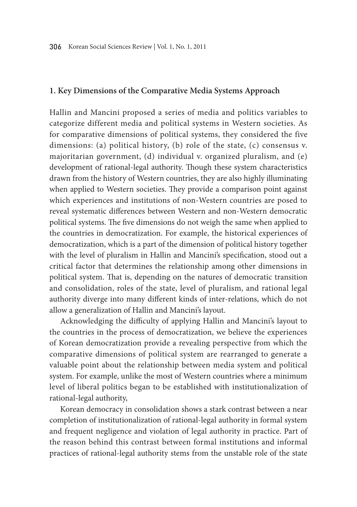## **1. Key Dimensions of the Comparative Media Systems Approach**

Hallin and Mancini proposed a series of media and politics variables to categorize different media and political systems in Western societies. As for comparative dimensions of political systems, they considered the five dimensions: (a) political history, (b) role of the state, (c) consensus v. majoritarian government, (d) individual v. organized pluralism, and (e) development of rational-legal authority. Though these system characteristics drawn from the history of Western countries, they are also highly illuminating when applied to Western societies. They provide a comparison point against which experiences and institutions of non-Western countries are posed to reveal systematic differences between Western and non-Western democratic political systems. The five dimensions do not weigh the same when applied to the countries in democratization. For example, the historical experiences of democratization, which is a part of the dimension of political history together with the level of pluralism in Hallin and Mancini's specification, stood out a critical factor that determines the relationship among other dimensions in political system. That is, depending on the natures of democratic transition and consolidation, roles of the state, level of pluralism, and rational legal authority diverge into many different kinds of inter-relations, which do not allow a generalization of Hallin and Mancini's layout.

Acknowledging the difficulty of applying Hallin and Mancini's layout to the countries in the process of democratization, we believe the experiences of Korean democratization provide a revealing perspective from which the comparative dimensions of political system are rearranged to generate a valuable point about the relationship between media system and political system. For example, unlike the most of Western countries where a minimum level of liberal politics began to be established with institutionalization of rational-legal authority,

Korean democracy in consolidation shows a stark contrast between a near completion of institutionalization of rational-legal authority in formal system and frequent negligence and violation of legal authority in practice. Part of the reason behind this contrast between formal institutions and informal practices of rational-legal authority stems from the unstable role of the state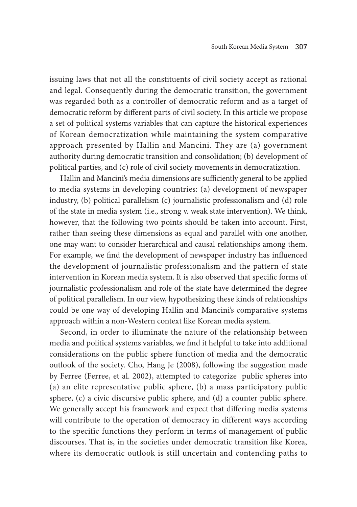issuing laws that not all the constituents of civil society accept as rational and legal. Consequently during the democratic transition, the government was regarded both as a controller of democratic reform and as a target of democratic reform by different parts of civil society. In this article we propose a set of political systems variables that can capture the historical experiences of Korean democratization while maintaining the system comparative approach presented by Hallin and Mancini. They are (a) government authority during democratic transition and consolidation; (b) development of political parties, and (c) role of civil society movements in democratization.

Hallin and Mancini's media dimensions are sufficiently general to be applied to media systems in developing countries: (a) development of newspaper industry, (b) political parallelism (c) journalistic professionalism and (d) role of the state in media system (i.e., strong v. weak state intervention). We think, however, that the following two points should be taken into account. First, rather than seeing these dimensions as equal and parallel with one another, one may want to consider hierarchical and causal relationships among them. For example, we find the development of newspaper industry has influenced the development of journalistic professionalism and the pattern of state intervention in Korean media system. It is also observed that specific forms of journalistic professionalism and role of the state have determined the degree of political parallelism. In our view, hypothesizing these kinds of relationships could be one way of developing Hallin and Mancini's comparative systems approach within a non-Western context like Korean media system.

Second, in order to illuminate the nature of the relationship between media and political systems variables, we find it helpful to take into additional considerations on the public sphere function of media and the democratic outlook of the society. Cho, Hang Je (2008), following the suggestion made by Ferree (Ferree, et al. 2002), attempted to categorize public spheres into (a) an elite representative public sphere, (b) a mass participatory public sphere, (c) a civic discursive public sphere, and (d) a counter public sphere. We generally accept his framework and expect that differing media systems will contribute to the operation of democracy in different ways according to the specific functions they perform in terms of management of public discourses. That is, in the societies under democratic transition like Korea, where its democratic outlook is still uncertain and contending paths to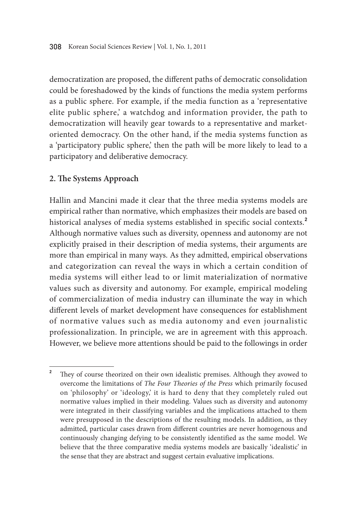democratization are proposed, the different paths of democratic consolidation could be foreshadowed by the kinds of functions the media system performs as a public sphere. For example, if the media function as a 'representative elite public sphere,' a watchdog and information provider, the path to democratization will heavily gear towards to a representative and marketoriented democracy. On the other hand, if the media systems function as a 'participatory public sphere,' then the path will be more likely to lead to a participatory and deliberative democracy.

## **2. The Systems Approach**

Hallin and Mancini made it clear that the three media systems models are empirical rather than normative, which emphasizes their models are based on historical analyses of media systems established in specific social contexts.**<sup>2</sup>** Although normative values such as diversity, openness and autonomy are not explicitly praised in their description of media systems, their arguments are more than empirical in many ways. As they admitted, empirical observations and categorization can reveal the ways in which a certain condition of media systems will either lead to or limit materialization of normative values such as diversity and autonomy. For example, empirical modeling of commercialization of media industry can illuminate the way in which different levels of market development have consequences for establishment of normative values such as media autonomy and even journalistic professionalization. In principle, we are in agreement with this approach. However, we believe more attentions should be paid to the followings in order

<sup>&</sup>lt;sup>2</sup> They of course theorized on their own idealistic premises. Although they avowed to overcome the limitations of *The Four Theories of the Press* which primarily focused on 'philosophy' or 'ideology,' it is hard to deny that they completely ruled out normative values implied in their modeling. Values such as diversity and autonomy were integrated in their classifying variables and the implications attached to them were presupposed in the descriptions of the resulting models. In addition, as they admitted, particular cases drawn from different countries are never homogenous and continuously changing defying to be consistently identified as the same model. We believe that the three comparative media systems models are basically 'idealistic' in the sense that they are abstract and suggest certain evaluative implications.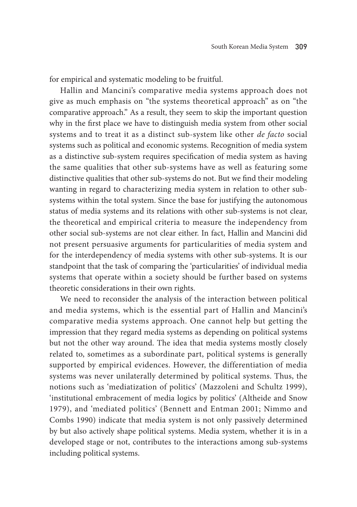for empirical and systematic modeling to be fruitful.

Hallin and Mancini's comparative media systems approach does not give as much emphasis on "the systems theoretical approach" as on "the comparative approach." As a result, they seem to skip the important question why in the first place we have to distinguish media system from other social systems and to treat it as a distinct sub-system like other *de facto* social systems such as political and economic systems. Recognition of media system as a distinctive sub-system requires specification of media system as having the same qualities that other sub-systems have as well as featuring some distinctive qualities that other sub-systems do not. But we find their modeling wanting in regard to characterizing media system in relation to other subsystems within the total system. Since the base for justifying the autonomous status of media systems and its relations with other sub-systems is not clear, the theoretical and empirical criteria to measure the independency from other social sub-systems are not clear either. In fact, Hallin and Mancini did not present persuasive arguments for particularities of media system and for the interdependency of media systems with other sub-systems. It is our standpoint that the task of comparing the 'particularities' of individual media systems that operate within a society should be further based on systems theoretic considerations in their own rights.

We need to reconsider the analysis of the interaction between political and media systems, which is the essential part of Hallin and Mancini's comparative media systems approach. One cannot help but getting the impression that they regard media systems as depending on political systems but not the other way around. The idea that media systems mostly closely related to, sometimes as a subordinate part, political systems is generally supported by empirical evidences. However, the differentiation of media systems was never unilaterally determined by political systems. Thus, the notions such as 'mediatization of politics' (Mazzoleni and Schultz 1999), 'institutional embracement of media logics by politics' (Altheide and Snow 1979), and 'mediated politics' (Bennett and Entman 2001; Nimmo and Combs 1990) indicate that media system is not only passively determined by but also actively shape political systems. Media system, whether it is in a developed stage or not, contributes to the interactions among sub-systems including political systems.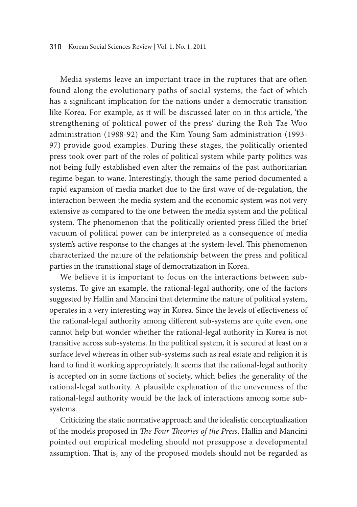Media systems leave an important trace in the ruptures that are often found along the evolutionary paths of social systems, the fact of which has a significant implication for the nations under a democratic transition like Korea. For example, as it will be discussed later on in this article, 'the strengthening of political power of the press' during the Roh Tae Woo administration (1988-92) and the Kim Young Sam administration (1993- 97) provide good examples. During these stages, the politically oriented press took over part of the roles of political system while party politics was not being fully established even after the remains of the past authoritarian regime began to wane. Interestingly, though the same period documented a rapid expansion of media market due to the first wave of de-regulation, the interaction between the media system and the economic system was not very extensive as compared to the one between the media system and the political system. The phenomenon that the politically oriented press filled the brief vacuum of political power can be interpreted as a consequence of media system's active response to the changes at the system-level. This phenomenon characterized the nature of the relationship between the press and political parties in the transitional stage of democratization in Korea.

We believe it is important to focus on the interactions between subsystems. To give an example, the rational-legal authority, one of the factors suggested by Hallin and Mancini that determine the nature of political system, operates in a very interesting way in Korea. Since the levels of effectiveness of the rational-legal authority among different sub-systems are quite even, one cannot help but wonder whether the rational-legal authority in Korea is not transitive across sub-systems. In the political system, it is secured at least on a surface level whereas in other sub-systems such as real estate and religion it is hard to find it working appropriately. It seems that the rational-legal authority is accepted on in some factions of society, which belies the generality of the rational-legal authority. A plausible explanation of the unevenness of the rational-legal authority would be the lack of interactions among some subsystems.

Criticizing the static normative approach and the idealistic conceptualization of the models proposed in *The Four Theories of the Press*, Hallin and Mancini pointed out empirical modeling should not presuppose a developmental assumption. That is, any of the proposed models should not be regarded as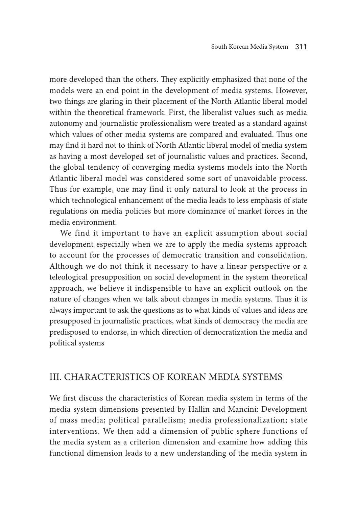more developed than the others. They explicitly emphasized that none of the models were an end point in the development of media systems. However, two things are glaring in their placement of the North Atlantic liberal model within the theoretical framework. First, the liberalist values such as media autonomy and journalistic professionalism were treated as a standard against which values of other media systems are compared and evaluated. Thus one may find it hard not to think of North Atlantic liberal model of media system as having a most developed set of journalistic values and practices. Second, the global tendency of converging media systems models into the North Atlantic liberal model was considered some sort of unavoidable process. Thus for example, one may find it only natural to look at the process in which technological enhancement of the media leads to less emphasis of state regulations on media policies but more dominance of market forces in the media environment.

We find it important to have an explicit assumption about social development especially when we are to apply the media systems approach to account for the processes of democratic transition and consolidation. Although we do not think it necessary to have a linear perspective or a teleological presupposition on social development in the system theoretical approach, we believe it indispensible to have an explicit outlook on the nature of changes when we talk about changes in media systems. Thus it is always important to ask the questions as to what kinds of values and ideas are presupposed in journalistic practices, what kinds of democracy the media are predisposed to endorse, in which direction of democratization the media and political systems

## III. Characteristics of Korean Media Systems

We first discuss the characteristics of Korean media system in terms of the media system dimensions presented by Hallin and Mancini: Development of mass media; political parallelism; media professionalization; state interventions. We then add a dimension of public sphere functions of the media system as a criterion dimension and examine how adding this functional dimension leads to a new understanding of the media system in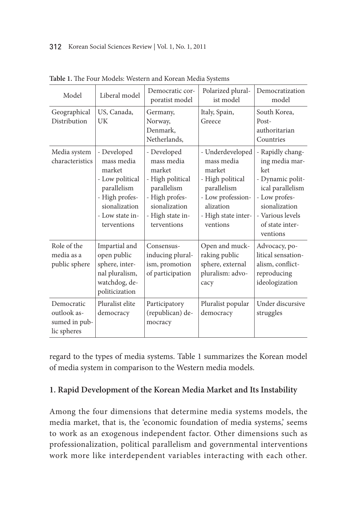| Model                                                     | Liberal model                                                                                                                              | Democratic cor-<br>poratist model                                                                                                            | Polarized plural-<br>ist model                                                                                                                   | Democratization<br>model                                                                                                                                               |
|-----------------------------------------------------------|--------------------------------------------------------------------------------------------------------------------------------------------|----------------------------------------------------------------------------------------------------------------------------------------------|--------------------------------------------------------------------------------------------------------------------------------------------------|------------------------------------------------------------------------------------------------------------------------------------------------------------------------|
| Geographical<br>Distribution                              | US, Canada,<br>UK                                                                                                                          | Germany,<br>Norway,<br>Denmark,<br>Netherlands,                                                                                              | Italy, Spain,<br>Greece                                                                                                                          | South Korea,<br>Post-<br>authoritarian<br>Countries                                                                                                                    |
| Media system<br>characteristics                           | - Developed<br>mass media<br>market<br>- Low political<br>parallelism<br>- High profes-<br>sionalization<br>- Low state in-<br>terventions | - Developed<br>mass media<br>market<br>- High political<br>parallelism<br>- High profes-<br>sionalization<br>- High state in-<br>terventions | - Underdeveloped<br>mass media<br>market<br>- High political<br>parallelism<br>- Low profession-<br>alization<br>- High state inter-<br>ventions | - Rapidly chang-<br>ing media mar-<br>ket<br>- Dynamic polit-<br>ical parallelism<br>- Low profes-<br>sionalization<br>- Various levels<br>of state inter-<br>ventions |
| Role of the<br>media as a<br>public sphere                | Impartial and<br>open public<br>sphere, inter-<br>nal pluralism,<br>watchdog, de-<br>politicization                                        | Consensus-<br>inducing plural-<br>ism, promotion<br>of participation                                                                         | Open and muck-<br>raking public<br>sphere, external<br>pluralism: advo-<br>cacy                                                                  | Advocacy, po-<br>litical sensation-<br>alism, conflict-<br>reproducing<br>ideologization                                                                               |
| Democratic<br>outlook as-<br>sumed in pub-<br>lic spheres | Pluralist elite<br>democracy                                                                                                               | Participatory<br>(republican) de-<br>mocracy                                                                                                 | Pluralist popular<br>democracy                                                                                                                   | Under discursive<br>struggles                                                                                                                                          |

**Table 1.** The Four Models: Western and Korean Media Systems

regard to the types of media systems. Table 1 summarizes the Korean model of media system in comparison to the Western media models.

## **1. Rapid Development of the Korean Media Market and Its Instability**

Among the four dimensions that determine media systems models, the media market, that is, the 'economic foundation of media systems,' seems to work as an exogenous independent factor. Other dimensions such as professionalization, political parallelism and governmental interventions work more like interdependent variables interacting with each other.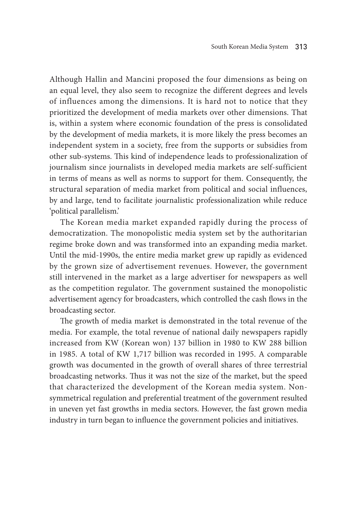Although Hallin and Mancini proposed the four dimensions as being on an equal level, they also seem to recognize the different degrees and levels of influences among the dimensions. It is hard not to notice that they prioritized the development of media markets over other dimensions. That is, within a system where economic foundation of the press is consolidated by the development of media markets, it is more likely the press becomes an independent system in a society, free from the supports or subsidies from other sub-systems. This kind of independence leads to professionalization of journalism since journalists in developed media markets are self-sufficient in terms of means as well as norms to support for them. Consequently, the structural separation of media market from political and social influences, by and large, tend to facilitate journalistic professionalization while reduce 'political parallelism.'

The Korean media market expanded rapidly during the process of democratization. The monopolistic media system set by the authoritarian regime broke down and was transformed into an expanding media market. Until the mid-1990s, the entire media market grew up rapidly as evidenced by the grown size of advertisement revenues. However, the government still intervened in the market as a large advertiser for newspapers as well as the competition regulator. The government sustained the monopolistic advertisement agency for broadcasters, which controlled the cash flows in the broadcasting sector.

The growth of media market is demonstrated in the total revenue of the media. For example, the total revenue of national daily newspapers rapidly increased from KW (Korean won) 137 billion in 1980 to KW 288 billion in 1985. A total of KW 1,717 billion was recorded in 1995. A comparable growth was documented in the growth of overall shares of three terrestrial broadcasting networks. Thus it was not the size of the market, but the speed that characterized the development of the Korean media system. Nonsymmetrical regulation and preferential treatment of the government resulted in uneven yet fast growths in media sectors. However, the fast grown media industry in turn began to influence the government policies and initiatives.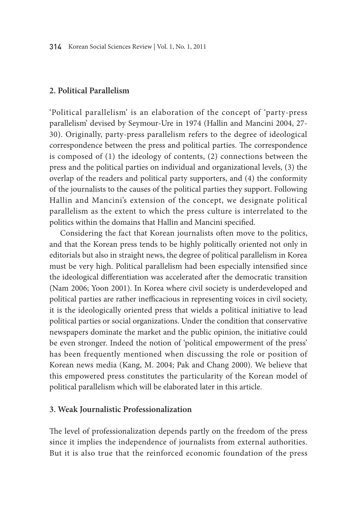## **2. Political Parallelism**

'Political parallelism' is an elaboration of the concept of 'party-press parallelism' devised by Seymour-Ure in 1974 (Hallin and Mancini 2004, 27- 30). Originally, party-press parallelism refers to the degree of ideological correspondence between the press and political parties. The correspondence is composed of (1) the ideology of contents, (2) connections between the press and the political parties on individual and organizational levels, (3) the overlap of the readers and political party supporters, and (4) the conformity of the journalists to the causes of the political parties they support. Following Hallin and Mancini's extension of the concept, we designate political parallelism as the extent to which the press culture is interrelated to the politics within the domains that Hallin and Mancini specified.

Considering the fact that Korean journalists often move to the politics, and that the Korean press tends to be highly politically oriented not only in editorials but also in straight news, the degree of political parallelism in Korea must be very high. Political parallelism had been especially intensified since the ideological differentiation was accelerated after the democratic transition (Nam 2006; Yoon 2001). In Korea where civil society is underdeveloped and political parties are rather inefficacious in representing voices in civil society, it is the ideologically oriented press that wields a political initiative to lead political parties or social organizations. Under the condition that conservative newspapers dominate the market and the public opinion, the initiative could be even stronger. Indeed the notion of 'political empowerment of the press' has been frequently mentioned when discussing the role or position of Korean news media (Kang, M. 2004; Pak and Chang 2000). We believe that this empowered press constitutes the particularity of the Korean model of political parallelism which will be elaborated later in this article.

#### **3. Weak Journalistic Professionalization**

The level of professionalization depends partly on the freedom of the press since it implies the independence of journalists from external authorities. But it is also true that the reinforced economic foundation of the press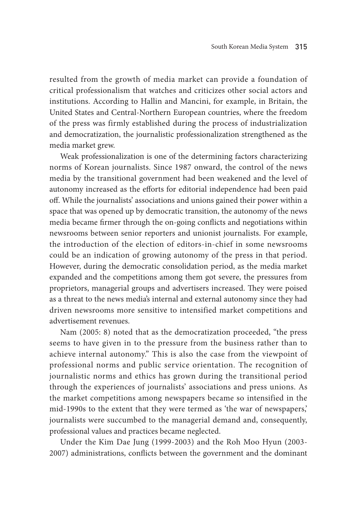resulted from the growth of media market can provide a foundation of critical professionalism that watches and criticizes other social actors and institutions. According to Hallin and Mancini, for example, in Britain, the United States and Central-Northern European countries, where the freedom of the press was firmly established during the process of industrialization and democratization, the journalistic professionalization strengthened as the media market grew.

Weak professionalization is one of the determining factors characterizing norms of Korean journalists. Since 1987 onward, the control of the news media by the transitional government had been weakened and the level of autonomy increased as the efforts for editorial independence had been paid off. While the journalists' associations and unions gained their power within a space that was opened up by democratic transition, the autonomy of the news media became firmer through the on-going conflicts and negotiations within newsrooms between senior reporters and unionist journalists. For example, the introduction of the election of editors-in-chief in some newsrooms could be an indication of growing autonomy of the press in that period. However, during the democratic consolidation period, as the media market expanded and the competitions among them got severe, the pressures from proprietors, managerial groups and advertisers increased. They were poised as a threat to the news media's internal and external autonomy since they had driven newsrooms more sensitive to intensified market competitions and advertisement revenues.

Nam (2005: 8) noted that as the democratization proceeded, "the press seems to have given in to the pressure from the business rather than to achieve internal autonomy." This is also the case from the viewpoint of professional norms and public service orientation. The recognition of journalistic norms and ethics has grown during the transitional period through the experiences of journalists' associations and press unions. As the market competitions among newspapers became so intensified in the mid-1990s to the extent that they were termed as 'the war of newspapers,' journalists were succumbed to the managerial demand and, consequently, professional values and practices became neglected.

Under the Kim Dae Jung (1999-2003) and the Roh Moo Hyun (2003- 2007) administrations, conflicts between the government and the dominant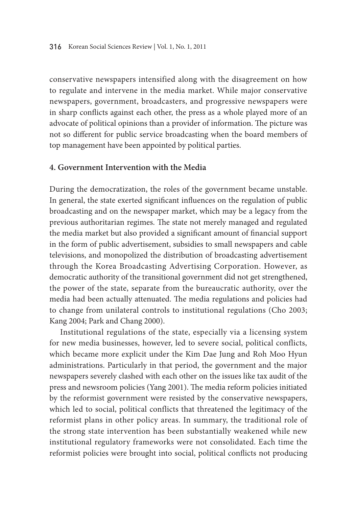conservative newspapers intensified along with the disagreement on how to regulate and intervene in the media market. While major conservative newspapers, government, broadcasters, and progressive newspapers were in sharp conflicts against each other, the press as a whole played more of an advocate of political opinions than a provider of information. The picture was not so different for public service broadcasting when the board members of top management have been appointed by political parties.

### **4. Government Intervention with the Media**

During the democratization, the roles of the government became unstable. In general, the state exerted significant influences on the regulation of public broadcasting and on the newspaper market, which may be a legacy from the previous authoritarian regimes. The state not merely managed and regulated the media market but also provided a significant amount of financial support in the form of public advertisement, subsidies to small newspapers and cable televisions, and monopolized the distribution of broadcasting advertisement through the Korea Broadcasting Advertising Corporation. However, as democratic authority of the transitional government did not get strengthened, the power of the state, separate from the bureaucratic authority, over the media had been actually attenuated. The media regulations and policies had to change from unilateral controls to institutional regulations (Cho 2003; Kang 2004; Park and Chang 2000).

Institutional regulations of the state, especially via a licensing system for new media businesses, however, led to severe social, political conflicts, which became more explicit under the Kim Dae Jung and Roh Moo Hyun administrations. Particularly in that period, the government and the major newspapers severely clashed with each other on the issues like tax audit of the press and newsroom policies (Yang 2001). The media reform policies initiated by the reformist government were resisted by the conservative newspapers, which led to social, political conflicts that threatened the legitimacy of the reformist plans in other policy areas. In summary, the traditional role of the strong state intervention has been substantially weakened while new institutional regulatory frameworks were not consolidated. Each time the reformist policies were brought into social, political conflicts not producing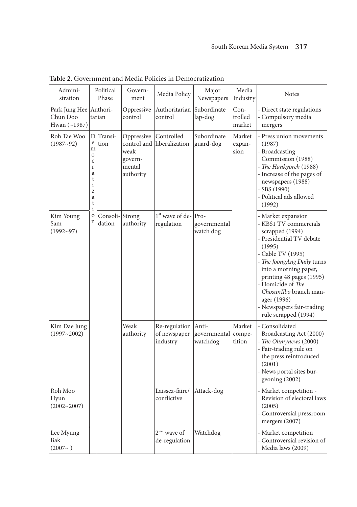| Admini-<br>stration                         |                                                                                    | Political<br>Phase       | Govern-<br>ment                                                     | Media Policy                              | Major<br>Newspapers                      | Media<br>Industry         | <b>Notes</b>                                                                                                                                                                                                                                                                                                                    |
|---------------------------------------------|------------------------------------------------------------------------------------|--------------------------|---------------------------------------------------------------------|-------------------------------------------|------------------------------------------|---------------------------|---------------------------------------------------------------------------------------------------------------------------------------------------------------------------------------------------------------------------------------------------------------------------------------------------------------------------------|
| Park Jung Hee<br>Chun Doo<br>Hwan $(-1987)$ |                                                                                    | Authori-<br>tarian       | Oppressive<br>control                                               | Authoritarian<br>control                  | Subordinate<br>lap-dog                   | Con-<br>trolled<br>market | - Direct state regulations<br>- Compulsory media<br>mergers                                                                                                                                                                                                                                                                     |
| Roh Tae Woo<br>$(1987 - 92)$                | D<br>e<br>m<br>$\mathbf 0$<br>$\mathsf{C}$<br>r<br>a<br>t<br>i<br>Z<br>a<br>t<br>i | Transi-<br>tion          | Oppressive<br>control and<br>weak<br>govern-<br>mental<br>authority | Controlled<br>liberalization              | Subordinate<br>guard-dog                 | Market<br>expan-<br>sion  | - Press union movements<br>(1987)<br>- Broadcasting<br>Commission (1988)<br>- The Hankyoreh (1988)<br>- Increase of the pages of<br>newspapers (1988)<br>$-$ SBS (1990)<br>- Political ads allowed<br>(1992)                                                                                                                    |
| Kim Young<br>Sam<br>$(1992 - 97)$           | 0<br>n                                                                             | Consoli-Strong<br>dation | authority                                                           | $1st$ wave of de- $ Pro-$<br>regulation   | governmental<br>watch dog                |                           | - Market expansion<br>- KBS1 TV commercials<br>scrapped (1994)<br>- Presidential TV debate<br>(1995)<br>- Cable TV (1995)<br>- The JoongAng Daily turns<br>into a morning paper,<br>printing 48 pages (1995)<br>- Homicide of The<br>ChosunIlbo branch man-<br>ager (1996)<br>- Newspapers fair-trading<br>rule scrapped (1994) |
| Kim Dae Jung<br>$(1997 - 2002)$             |                                                                                    |                          | Weak<br>authority                                                   | Re-regulation<br>of newspaper<br>industry | Anti-<br>governmental compe-<br>watchdog | Market<br>tition          | - Consolidated<br>Broadcasting Act (2000)<br>- The Ohmynews (2000)<br>- Fair-trading rule on<br>the press reintroduced<br>(2001)<br>- News portal sites bur-<br>$\gamma$ geoning (2002)                                                                                                                                         |
| Roh Moo<br>Hyun<br>$(2002 - 2007)$          |                                                                                    |                          |                                                                     | Laissez-faire/<br>conflictive             | Attack-dog                               |                           | - Market competition -<br>Revision of electoral laws<br>(2005)<br>- Controversial pressroom<br>mergers (2007)                                                                                                                                                                                                                   |
| Lee Myung<br>Bak<br>$(2007-)$               |                                                                                    |                          |                                                                     | $2nd$ wave of<br>de-regulation            | Watchdog                                 |                           | - Market competition<br>- Controversial revision of<br>Media laws (2009)                                                                                                                                                                                                                                                        |

**Table 2.** Government and Media Policies in Democratization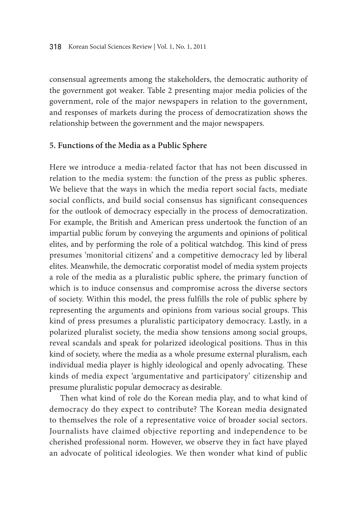consensual agreements among the stakeholders, the democratic authority of the government got weaker. Table 2 presenting major media policies of the government, role of the major newspapers in relation to the government, and responses of markets during the process of democratization shows the relationship between the government and the major newspapers.

## **5. Functions of the Media as a Public Sphere**

Here we introduce a media-related factor that has not been discussed in relation to the media system: the function of the press as public spheres. We believe that the ways in which the media report social facts, mediate social conflicts, and build social consensus has significant consequences for the outlook of democracy especially in the process of democratization. For example, the British and American press undertook the function of an impartial public forum by conveying the arguments and opinions of political elites, and by performing the role of a political watchdog. This kind of press presumes 'monitorial citizens' and a competitive democracy led by liberal elites. Meanwhile, the democratic corporatist model of media system projects a role of the media as a pluralistic public sphere, the primary function of which is to induce consensus and compromise across the diverse sectors of society. Within this model, the press fulfills the role of public sphere by representing the arguments and opinions from various social groups. This kind of press presumes a pluralistic participatory democracy. Lastly, in a polarized pluralist society, the media show tensions among social groups, reveal scandals and speak for polarized ideological positions. Thus in this kind of society, where the media as a whole presume external pluralism, each individual media player is highly ideological and openly advocating. These kinds of media expect 'argumentative and participatory' citizenship and presume pluralistic popular democracy as desirable.

Then what kind of role do the Korean media play, and to what kind of democracy do they expect to contribute? The Korean media designated to themselves the role of a representative voice of broader social sectors. Journalists have claimed objective reporting and independence to be cherished professional norm. However, we observe they in fact have played an advocate of political ideologies. We then wonder what kind of public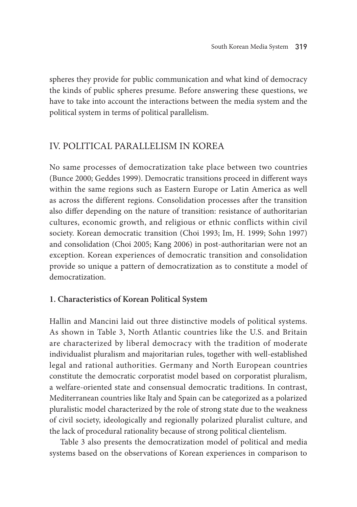spheres they provide for public communication and what kind of democracy the kinds of public spheres presume. Before answering these questions, we have to take into account the interactions between the media system and the political system in terms of political parallelism.

# IV. Political Parallelism in Korea

No same processes of democratization take place between two countries (Bunce 2000; Geddes 1999). Democratic transitions proceed in different ways within the same regions such as Eastern Europe or Latin America as well as across the different regions. Consolidation processes after the transition also differ depending on the nature of transition: resistance of authoritarian cultures, economic growth, and religious or ethnic conflicts within civil society. Korean democratic transition (Choi 1993; Im, H. 1999; Sohn 1997) and consolidation (Choi 2005; Kang 2006) in post-authoritarian were not an exception. Korean experiences of democratic transition and consolidation provide so unique a pattern of democratization as to constitute a model of democratization.

# **1. Characteristics of Korean Political System**

Hallin and Mancini laid out three distinctive models of political systems. As shown in Table 3, North Atlantic countries like the U.S. and Britain are characterized by liberal democracy with the tradition of moderate individualist pluralism and majoritarian rules, together with well-established legal and rational authorities. Germany and North European countries constitute the democratic corporatist model based on corporatist pluralism, a welfare-oriented state and consensual democratic traditions. In contrast, Mediterranean countries like Italy and Spain can be categorized as a polarized pluralistic model characterized by the role of strong state due to the weakness of civil society, ideologically and regionally polarized pluralist culture, and the lack of procedural rationality because of strong political clientelism.

Table 3 also presents the democratization model of political and media systems based on the observations of Korean experiences in comparison to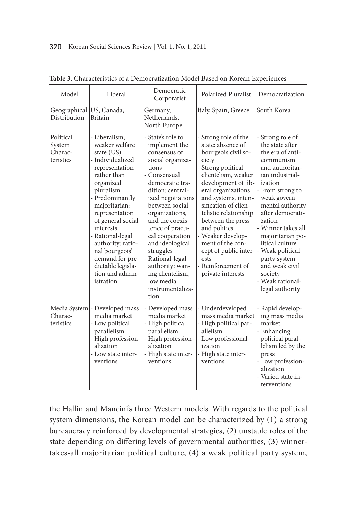| Model                                       | Liberal                                                                                                                                                                                                                                                                                                                                                 | Democratic<br>Corporatist                                                                                                                                                                                                                                                                                                                                                                   | <b>Polarized Pluralist</b>                                                                                                                                                                                                                                                                                                                                                                            | Democratization                                                                                                                                                                                                                                                                                                                                                                  |
|---------------------------------------------|---------------------------------------------------------------------------------------------------------------------------------------------------------------------------------------------------------------------------------------------------------------------------------------------------------------------------------------------------------|---------------------------------------------------------------------------------------------------------------------------------------------------------------------------------------------------------------------------------------------------------------------------------------------------------------------------------------------------------------------------------------------|-------------------------------------------------------------------------------------------------------------------------------------------------------------------------------------------------------------------------------------------------------------------------------------------------------------------------------------------------------------------------------------------------------|----------------------------------------------------------------------------------------------------------------------------------------------------------------------------------------------------------------------------------------------------------------------------------------------------------------------------------------------------------------------------------|
| Geographical<br>Distribution                | US, Canada,<br><b>Britain</b>                                                                                                                                                                                                                                                                                                                           | Germany,<br>Netherlands,<br>North Europe                                                                                                                                                                                                                                                                                                                                                    | Italy, Spain, Greece                                                                                                                                                                                                                                                                                                                                                                                  | South Korea                                                                                                                                                                                                                                                                                                                                                                      |
| Political<br>System<br>Charac-<br>teristics | - Liberalism:<br>weaker welfare<br>state (US)<br>- Individualized<br>representation<br>rather than<br>organized<br>pluralism<br>- Predominantly<br>majoritarian:<br>representation<br>of general social<br>interests<br>- Rational-legal<br>authority: ratio-<br>nal bourgeois'<br>demand for pre-<br>dictable legisla-<br>tion and admin-<br>istration | - State's role to<br>implement the<br>consensus of<br>social organiza-<br>tions<br>- Consensual<br>democratic tra-<br>dition: central-<br>ized negotiations<br>between social<br>organizations,<br>and the coexis-<br>tence of practi-<br>cal cooperation<br>and ideological<br>struggles<br>Rational-legal<br>authority: wan-<br>ing clientelism,<br>low media<br>instrumentaliza-<br>tion | - Strong role of the<br>state: absence of<br>bourgeois civil so-<br>ciety<br>- Strong political<br>clientelism, weaker<br>development of lib-<br>eral organizations<br>and systems, inten-<br>sification of clien-<br>telistic relationship<br>between the press<br>and politics<br>- Weaker develop-<br>ment of the con-<br>cept of public inter-<br>ests<br>- Reinforcement of<br>private interests | - Strong role of<br>the state after<br>the era of anti-<br>communism<br>and authoritar-<br>ian industrial-<br>ization<br>- From strong to<br>weak govern-<br>mental authority<br>after democrati-<br>zation<br>- Winner takes all<br>majoritarian po-<br>litical culture<br>- Weak political<br>party system<br>and weak civil<br>society<br>- Weak rational-<br>legal authority |
| Media System<br>Charac-<br>teristics        | Developed mass<br>media market<br>- Low political<br>parallelism<br>- High profession-<br>alization<br>- Low state inter-<br>ventions                                                                                                                                                                                                                   | - Developed mass<br>media market<br>- High political<br>parallelism<br>- High profession-<br>alization<br>- High state inter-<br>ventions                                                                                                                                                                                                                                                   | - Underdeveloped<br>mass media market<br>- High political par-<br>allelism<br>- Low professional-<br>ization<br>- High state inter-<br>ventions                                                                                                                                                                                                                                                       | - Rapid develop-<br>ing mass media<br>market<br>- Enhancing<br>political paral-<br>lelism led by the<br>press<br>- Low profession-<br>alization<br>- Varied state in-<br>terventions                                                                                                                                                                                             |

**Table 3.** Characteristics of a Democratization Model Based on Korean Experiences

the Hallin and Mancini's three Western models. With regards to the political system dimensions, the Korean model can be characterized by (1) a strong bureaucracy reinforced by developmental strategies, (2) unstable roles of the state depending on differing levels of governmental authorities, (3) winnertakes-all majoritarian political culture, (4) a weak political party system,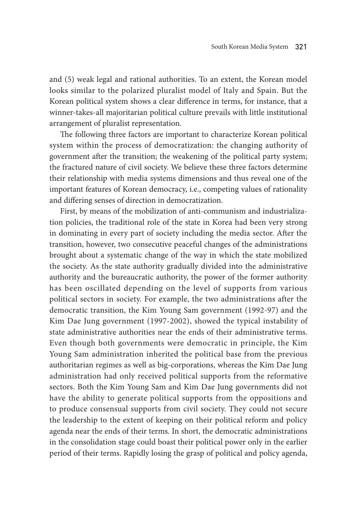and (5) weak legal and rational authorities. To an extent, the Korean model looks similar to the polarized pluralist model of Italy and Spain. But the Korean political system shows a clear difference in terms, for instance, that a winner-takes-all majoritarian political culture prevails with little institutional arrangement of pluralist representation.

The following three factors are important to characterize Korean political system within the process of democratization: the changing authority of government after the transition; the weakening of the political party system; the fractured nature of civil society. We believe these three factors determine their relationship with media systems dimensions and thus reveal one of the important features of Korean democracy, i.e., competing values of rationality and differing senses of direction in democratization.

First, by means of the mobilization of anti-communism and industrialization policies, the traditional role of the state in Korea had been very strong in dominating in every part of society including the media sector. After the transition, however, two consecutive peaceful changes of the administrations brought about a systematic change of the way in which the state mobilized the society. As the state authority gradually divided into the administrative authority and the bureaucratic authority, the power of the former authority has been oscillated depending on the level of supports from various political sectors in society. For example, the two administrations after the democratic transition, the Kim Young Sam government (1992-97) and the Kim Dae Jung government (1997-2002), showed the typical instability of state administrative authorities near the ends of their administrative terms. Even though both governments were democratic in principle, the Kim Young Sam administration inherited the political base from the previous authoritarian regimes as well as big-corporations, whereas the Kim Dae Jung administration had only received political supports from the reformative sectors. Both the Kim Young Sam and Kim Dae Jung governments did not have the ability to generate political supports from the oppositions and to produce consensual supports from civil society. They could not secure the leadership to the extent of keeping on their political reform and policy agenda near the ends of their terms. In short, the democratic administrations in the consolidation stage could boast their political power only in the earlier period of their terms. Rapidly losing the grasp of political and policy agenda,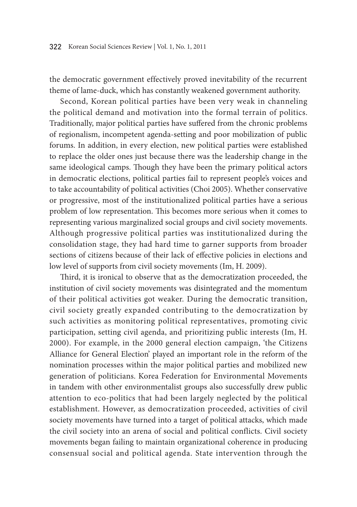the democratic government effectively proved inevitability of the recurrent theme of lame-duck, which has constantly weakened government authority.

Second, Korean political parties have been very weak in channeling the political demand and motivation into the formal terrain of politics. Traditionally, major political parties have suffered from the chronic problems of regionalism, incompetent agenda-setting and poor mobilization of public forums. In addition, in every election, new political parties were established to replace the older ones just because there was the leadership change in the same ideological camps. Though they have been the primary political actors in democratic elections, political parties fail to represent people's voices and to take accountability of political activities (Choi 2005). Whether conservative or progressive, most of the institutionalized political parties have a serious problem of low representation. This becomes more serious when it comes to representing various marginalized social groups and civil society movements. Although progressive political parties was institutionalized during the consolidation stage, they had hard time to garner supports from broader sections of citizens because of their lack of effective policies in elections and low level of supports from civil society movements (Im, H. 2009).

Third, it is ironical to observe that as the democratization proceeded, the institution of civil society movements was disintegrated and the momentum of their political activities got weaker. During the democratic transition, civil society greatly expanded contributing to the democratization by such activities as monitoring political representatives, promoting civic participation, setting civil agenda, and prioritizing public interests (Im, H. 2000). For example, in the 2000 general election campaign, 'the Citizens Alliance for General Election' played an important role in the reform of the nomination processes within the major political parties and mobilized new generation of politicians. Korea Federation for Environmental Movements in tandem with other environmentalist groups also successfully drew public attention to eco-politics that had been largely neglected by the political establishment. However, as democratization proceeded, activities of civil society movements have turned into a target of political attacks, which made the civil society into an arena of social and political conflicts. Civil society movements began failing to maintain organizational coherence in producing consensual social and political agenda. State intervention through the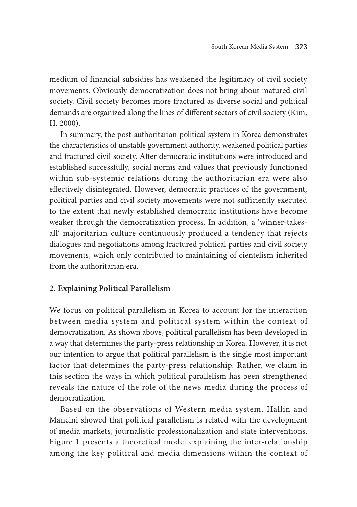medium of financial subsidies has weakened the legitimacy of civil society movements. Obviously democratization does not bring about matured civil society. Civil society becomes more fractured as diverse social and political demands are organized along the lines of different sectors of civil society (Kim, H. 2000).

In summary, the post-authoritarian political system in Korea demonstrates the characteristics of unstable government authority, weakened political parties and fractured civil society. After democratic institutions were introduced and established successfully, social norms and values that previously functioned within sub-systemic relations during the authoritarian era were also effectively disintegrated. However, democratic practices of the government, political parties and civil society movements were not sufficiently executed to the extent that newly established democratic institutions have become weaker through the democratization process. In addition, a 'winner-takesall' majoritarian culture continuously produced a tendency that rejects dialogues and negotiations among fractured political parties and civil society movements, which only contributed to maintaining of cientelism inherited from the authoritarian era.

# **2. Explaining Political Parallelism**

We focus on political parallelism in Korea to account for the interaction between media system and political system within the context of democratization. As shown above, political parallelism has been developed in a way that determines the party-press relationship in Korea. However, it is not our intention to argue that political parallelism is the single most important factor that determines the party-press relationship. Rather, we claim in this section the ways in which political parallelism has been strengthened reveals the nature of the role of the news media during the process of democratization.

Based on the observations of Western media system, Hallin and Mancini showed that political parallelism is related with the development of media markets, journalistic professionalization and state interventions. Figure 1 presents a theoretical model explaining the inter-relationship among the key political and media dimensions within the context of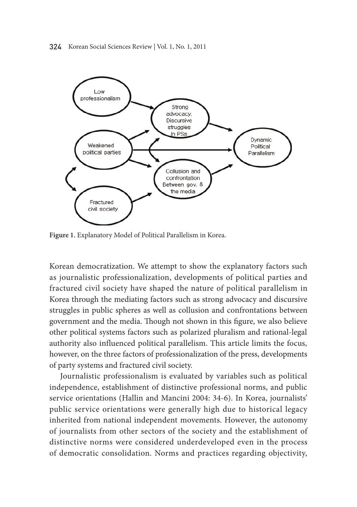

Figure 1. Explanatory Model of Political Parallelism in Korea.

Korean democratization. We attempt to show the explanatory factors such as journalistic professionalization, developments of political parties and fractured civil society have shaped the nature of political parallelism in Korea through the mediating factors such as strong advocacy and discursive struggles in public spheres as well as collusion and confrontations between government and the media. Though not shown in this figure, we also believe other political systems factors such as polarized pluralism and rational-legal authority also influenced political parallelism. This article limits the focus, however, on the three factors of professionalization of the press, developments of party systems and fractured civil society.

Journalistic professionalism is evaluated by variables such as political independence, establishment of distinctive professional norms, and public service orientations (Hallin and Mancini 2004: 34-6). In Korea, journalists' public service orientations were generally high due to historical legacy inherited from national independent movements. However, the autonomy of journalists from other sectors of the society and the establishment of distinctive norms were considered underdeveloped even in the process of democratic consolidation. norms and practices regarding objectivity,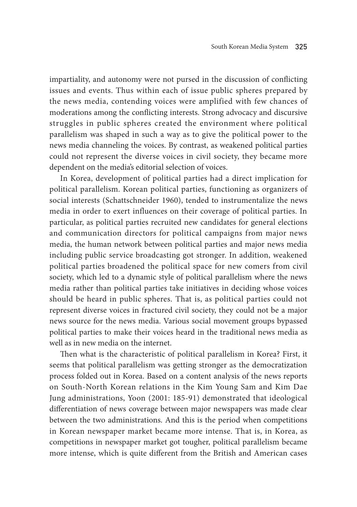impartiality, and autonomy were not pursed in the discussion of conflicting issues and events. Thus within each of issue public spheres prepared by the news media, contending voices were amplified with few chances of moderations among the conflicting interests. Strong advocacy and discursive struggles in public spheres created the environment where political parallelism was shaped in such a way as to give the political power to the news media channeling the voices. By contrast, as weakened political parties could not represent the diverse voices in civil society, they became more dependent on the media's editorial selection of voices.

In Korea, development of political parties had a direct implication for political parallelism. Korean political parties, functioning as organizers of social interests (Schattschneider 1960), tended to instrumentalize the news media in order to exert influences on their coverage of political parties. In particular, as political parties recruited new candidates for general elections and communication directors for political campaigns from major news media, the human network between political parties and major news media including public service broadcasting got stronger. In addition, weakened political parties broadened the political space for new comers from civil society, which led to a dynamic style of political parallelism where the news media rather than political parties take initiatives in deciding whose voices should be heard in public spheres. That is, as political parties could not represent diverse voices in fractured civil society, they could not be a major news source for the news media. Various social movement groups bypassed political parties to make their voices heard in the traditional news media as well as in new media on the internet.

Then what is the characteristic of political parallelism in Korea? First, it seems that political parallelism was getting stronger as the democratization process folded out in Korea. Based on a content analysis of the news reports on South-North Korean relations in the Kim Young Sam and Kim Dae Jung administrations, Yoon (2001: 185-91) demonstrated that ideological differentiation of news coverage between major newspapers was made clear between the two administrations. And this is the period when competitions in Korean newspaper market became more intense. That is, in Korea, as competitions in newspaper market got tougher, political parallelism became more intense, which is quite different from the British and American cases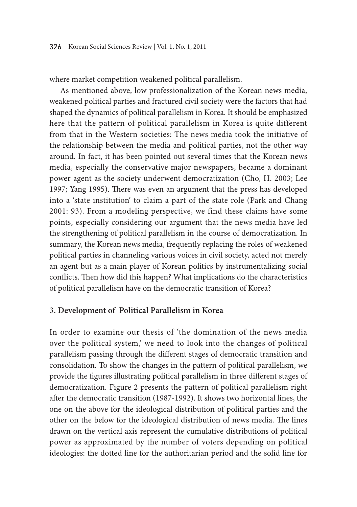where market competition weakened political parallelism.

As mentioned above, low professionalization of the Korean news media, weakened political parties and fractured civil society were the factors that had shaped the dynamics of political parallelism in Korea. It should be emphasized here that the pattern of political parallelism in Korea is quite different from that in the Western societies: The news media took the initiative of the relationship between the media and political parties, not the other way around. In fact, it has been pointed out several times that the Korean news media, especially the conservative major newspapers, became a dominant power agent as the society underwent democratization (Cho, H. 2003; Lee 1997; Yang 1995). There was even an argument that the press has developed into a 'state institution' to claim a part of the state role (Park and Chang 2001: 93). From a modeling perspective, we find these claims have some points, especially considering our argument that the news media have led the strengthening of political parallelism in the course of democratization. In summary, the Korean news media, frequently replacing the roles of weakened political parties in channeling various voices in civil society, acted not merely an agent but as a main player of Korean politics by instrumentalizing social conflicts. Then how did this happen? What implications do the characteristics of political parallelism have on the democratic transition of Korea?

# **3. Development of Political Parallelism in Korea**

In order to examine our thesis of 'the domination of the news media over the political system,' we need to look into the changes of political parallelism passing through the different stages of democratic transition and consolidation. To show the changes in the pattern of political parallelism, we provide the figures illustrating political parallelism in three different stages of democratization. Figure 2 presents the pattern of political parallelism right after the democratic transition (1987-1992). It shows two horizontal lines, the one on the above for the ideological distribution of political parties and the other on the below for the ideological distribution of news media. The lines drawn on the vertical axis represent the cumulative distributions of political power as approximated by the number of voters depending on political ideologies: the dotted line for the authoritarian period and the solid line for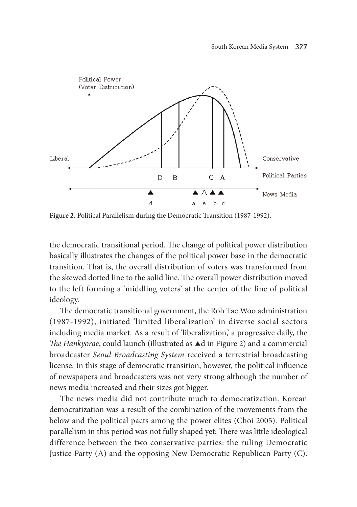

Figure 2. Political Parallelism during the Democratic Transition (1987-1992).

the democratic transitional period. The change of political power distribution basically illustrates the changes of the political power base in the democratic transition. that is, the overall distribution of voters was transformed from the skewed dotted line to the solid line. The overall power distribution moved to the left forming a 'middling voters' at the center of the line of political ideology.

The democratic transitional government, the Roh Tae Woo administration (1987-1992), initiated 'limited liberalization' in diverse social sectors including media market. As a result of 'liberalization,' a progressive daily, the *The Hankyorae*, could launch (illustrated as ▲d in Figure 2) and a commercial broadcaster *Seoul Broadcasting System* received a terrestrial broadcasting license. In this stage of democratic transition, however, the political influence of newspapers and broadcasters was not very strong although the number of news media increased and their sizes got bigger.

The news media did not contribute much to democratization. Korean democratization was a result of the combination of the movements from the below and the political pacts among the power elites (choi 2005). Political parallelism in this period was not fully shaped yet: There was little ideological difference between the two conservative parties: the ruling Democratic Justice Party  $(A)$  and the opposing New Democratic Republican Party  $(C)$ .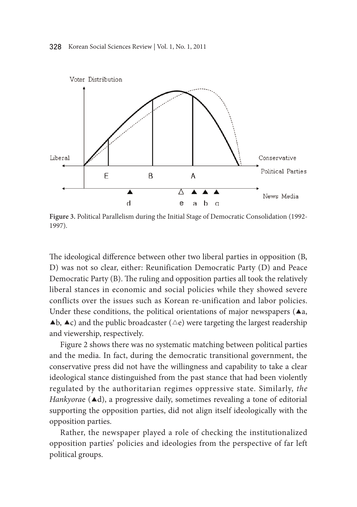

Figure 3. Political Parallelism during the Initial Stage of Democratic Consolidation (1992-1997).

The ideological difference between other two liberal parties in opposition (B, D) was not so clear, either: Reunification Democratic Party  $(D)$  and Peace Democratic Party (B). The ruling and opposition parties all took the relatively liberal stances in economic and social policies while they showed severe conflicts over the issues such as Korean re-unification and labor policies. Under these conditions, the political orientations of major newspapers ( $\blacktriangle$ a,  $\triangle$ b,  $\triangle$ c) and the public broadcaster ( $\triangle$ e) were targeting the largest readership and viewership, respectively.

Figure 2 shows there was no systematic matching between political parties and the media. In fact, during the democratic transitional government, the conservative press did not have the willingness and capability to take a clear ideological stance distinguished from the past stance that had been violently regulated by the authoritarian regimes oppressive state. Similarly, *the Hankyorae* (▲d), a progressive daily, sometimes revealing a tone of editorial supporting the opposition parties, did not align itself ideologically with the opposition parties.

Rather, the newspaper played a role of checking the institutionalized opposition parties' policies and ideologies from the perspective of far left political groups.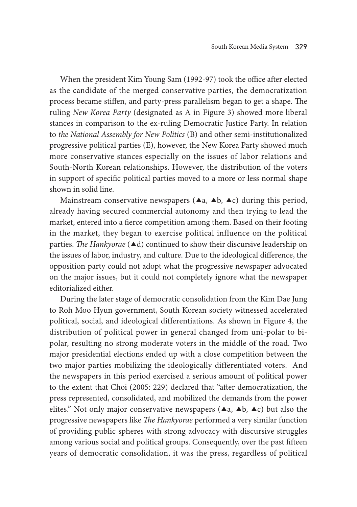When the president Kim Young Sam (1992-97) took the office after elected as the candidate of the merged conservative parties, the democratization process became stiffen, and party-press parallelism began to get a shape. The ruling *New Korea Party* (designated as A in Figure 3) showed more liberal stances in comparison to the ex-ruling Democratic Justice Party. In relation to *the National Assembly for New Politics* (B) and other semi-institutionalized progressive political parties (E), however, the New Korea Party showed much more conservative stances especially on the issues of labor relations and South-North Korean relationships. However, the distribution of the voters in support of specific political parties moved to a more or less normal shape shown in solid line.

Mainstream conservative newspapers ( $\blacktriangle$ a,  $\blacktriangle$ b,  $\blacktriangle$ c) during this period, already having secured commercial autonomy and then trying to lead the market, entered into a fierce competition among them. Based on their footing in the market, they began to exercise political influence on the political parties. *The Hankyorae* (▲d) continued to show their discursive leadership on the issues of labor, industry, and culture. Due to the ideological difference, the opposition party could not adopt what the progressive newspaper advocated on the major issues, but it could not completely ignore what the newspaper editorialized either.

During the later stage of democratic consolidation from the Kim Dae Jung to Roh Moo Hyun government, South Korean society witnessed accelerated political, social, and ideological differentiations. As shown in Figure 4, the distribution of political power in general changed from uni-polar to bipolar, resulting no strong moderate voters in the middle of the road. Two major presidential elections ended up with a close competition between the two major parties mobilizing the ideologically differentiated voters. And the newspapers in this period exercised a serious amount of political power to the extent that Choi (2005: 229) declared that "after democratization, the press represented, consolidated, and mobilized the demands from the power elites." Not only major conservative newspapers ( $\blacktriangle$ a,  $\blacktriangle$ b,  $\blacktriangle$ c) but also the progressive newspapers like *The Hankyorae* performed a very similar function of providing public spheres with strong advocacy with discursive struggles among various social and political groups. Consequently, over the past fifteen years of democratic consolidation, it was the press, regardless of political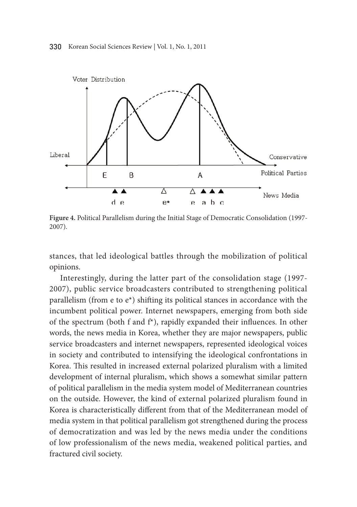

Figure 4. Political Parallelism during the Initial Stage of Democratic Consolidation (1997-2007).

stances, that led ideological battles through the mobilization of political opinions.

Interestingly, during the latter part of the consolidation stage (1997- 2007), public service broadcasters contributed to strengthening political parallelism (from e to  $e^*$ ) shifting its political stances in accordance with the incumbent political power. Internet newspapers, emerging from both side of the spectrum (both f and f<sup>\*</sup>), rapidly expanded their influences. In other words, the news media in Korea, whether they are major newspapers, public service broadcasters and internet newspapers, represented ideological voices in society and contributed to intensifying the ideological confrontations in Korea. This resulted in increased external polarized pluralism with a limited development of internal pluralism, which shows a somewhat similar pattern of political parallelism in the media system model of Mediterranean countries on the outside. However, the kind of external polarized pluralism found in Korea is characteristically different from that of the Mediterranean model of media system in that political parallelism got strengthened during the process of democratization and was led by the news media under the conditions of low professionalism of the news media, weakened political parties, and fractured civil society.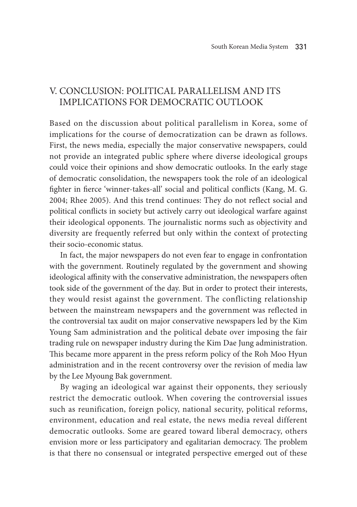# V. Conclusion: Political Parallelism and Its Implications for Democratic Outlook

Based on the discussion about political parallelism in Korea, some of implications for the course of democratization can be drawn as follows. First, the news media, especially the major conservative newspapers, could not provide an integrated public sphere where diverse ideological groups could voice their opinions and show democratic outlooks. In the early stage of democratic consolidation, the newspapers took the role of an ideological fighter in fierce 'winner-takes-all' social and political conflicts (Kang, M. G. 2004; Rhee 2005). And this trend continues: They do not reflect social and political conflicts in society but actively carry out ideological warfare against their ideological opponents. The journalistic norms such as objectivity and diversity are frequently referred but only within the context of protecting their socio-economic status.

In fact, the major newspapers do not even fear to engage in confrontation with the government. Routinely regulated by the government and showing ideological affinity with the conservative administration, the newspapers often took side of the government of the day. But in order to protect their interests, they would resist against the government. The conflicting relationship between the mainstream newspapers and the government was reflected in the controversial tax audit on major conservative newspapers led by the Kim Young Sam administration and the political debate over imposing the fair trading rule on newspaper industry during the Kim Dae Jung administration. This became more apparent in the press reform policy of the Roh Moo Hyun administration and in the recent controversy over the revision of media law by the Lee Myoung Bak government.

By waging an ideological war against their opponents, they seriously restrict the democratic outlook. When covering the controversial issues such as reunification, foreign policy, national security, political reforms, environment, education and real estate, the news media reveal different democratic outlooks. Some are geared toward liberal democracy, others envision more or less participatory and egalitarian democracy. The problem is that there no consensual or integrated perspective emerged out of these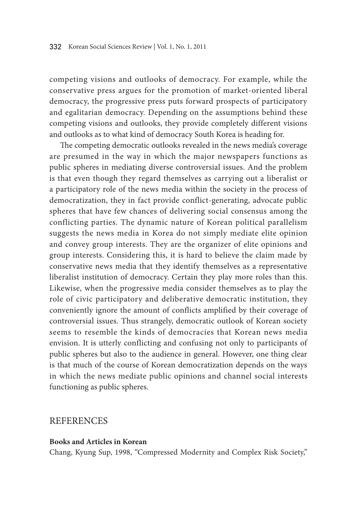competing visions and outlooks of democracy. For example, while the conservative press argues for the promotion of market-oriented liberal democracy, the progressive press puts forward prospects of participatory and egalitarian democracy. Depending on the assumptions behind these competing visions and outlooks, they provide completely different visions and outlooks as to what kind of democracy South Korea is heading for.

The competing democratic outlooks revealed in the news media's coverage are presumed in the way in which the major newspapers functions as public spheres in mediating diverse controversial issues. And the problem is that even though they regard themselves as carrying out a liberalist or a participatory role of the news media within the society in the process of democratization, they in fact provide conflict-generating, advocate public spheres that have few chances of delivering social consensus among the conflicting parties. The dynamic nature of Korean political parallelism suggests the news media in Korea do not simply mediate elite opinion and convey group interests. They are the organizer of elite opinions and group interests. Considering this, it is hard to believe the claim made by conservative news media that they identify themselves as a representative liberalist institution of democracy. Certain they play more roles than this. Likewise, when the progressive media consider themselves as to play the role of civic participatory and deliberative democratic institution, they conveniently ignore the amount of conflicts amplified by their coverage of controversial issues. Thus strangely, democratic outlook of Korean society seems to resemble the kinds of democracies that Korean news media envision. It is utterly conflicting and confusing not only to participants of public spheres but also to the audience in general. However, one thing clear is that much of the course of Korean democratization depends on the ways in which the news mediate public opinions and channel social interests functioning as public spheres.

## **REFERENCES**

#### **Books and Articles in Korean**

Chang, Kyung Sup, 1998, "Compressed Modernity and Complex Risk Society,"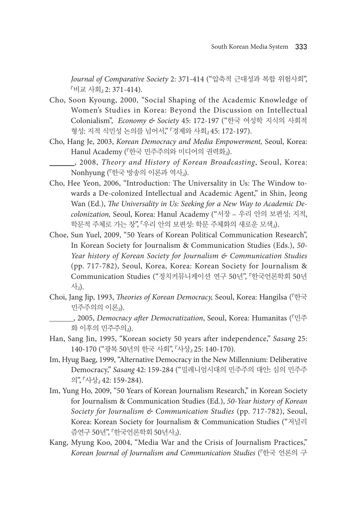*Journal of Comparative Society* 2: 371-414 ("압축적 근대성과 복합 위험사회", 『비교 사회』 2: 371-414).

- Cho, Soon Kyoung, 2000, "Social Shaping of the Academic Knowledge of Women's Studies in Korea: Beyond the Discussion on Intellectual Colonialism", *Economy & Society* 45: 172-197 ("한국 여성학 지식의 사회적 형성: 지적 식민성 논의를 넘어서," 『경제와 사회』 45: 172-197).
- Cho, Hang Je, 2003, *Korean Democracy and Media Empowerment,* Seoul, Korea: Hanul Academy (『한국 민주주의와 미디어의 권력화』).
	- , 2008, *Theory and History of Korean Broadcasting*, Seoul, Korea: Nonhyung (『한국 방송의 이론과 역사』).
- Cho, Hee Yeon, 2006, "Introduction: The Universality in Us: The Window towards a De-colonized Intellectual and Academic Agent," in Shin, Jeong Wan (Ed.), *The Universality in Us: Seeking for a New Way to Academic Decolonization,* Seoul, Korea: Hanul Academy ("서장 – 우리 안의 보편성: 지적, 학문적 주체로 가는 창", 『우리 안의 보편성: 학문 주체화의 새로운 모색』).
- Choe, Sun Yuel, 2009, "50 Years of Korean Political Communication Research", In Korean Society for Journalism & Communication Studies (Eds.), *50- Year history of Korean Society for Journalism & Communication Studies* (pp. 717-782), Seoul, Korea, Korea: Korean Society for Journalism & Communication Studies ("정치커뮤니케이션 연구 50년", 『한국언론학회 50년 사』).
- Choi, Jang Jip, 1993, *Theories of Korean Democracy,* Seoul, Korea: Hangilsa (『한국 민주주의의 이론』).

 , 2005, *Democracy after Democratization*, Seoul, Korea: Humanitas (『민주 화 이후의 민주주의』).

- Han, Sang Jin, 1995, "Korean society 50 years after independence," *Sasang* 25: 140-170 ("광복 50년의 한국 사회", 『사상』 25: 140-170).
- Im, Hyug Baeg, 1999, "Alternative Democracy in the New Millennium: Deliberative Democracy," *Sasang* 42: 159-284 ("밀레니엄시대의 민주주의 대안: 심의 민주주 의", 『사상』 42: 159-284).
- Im, Yung Ho, 2009, "50 Years of Korean Journalism Research," in Korean Society for Journalism & Communication Studies (Ed.), *50-Year history of Korean Society for Journalism & Communication Studies* (pp. 717-782), Seoul, Korea: Korean Society for Journalism & Communication Studies ("저널리 즘연구 50년", 『한국언론학회 50년사』).
- Kang, Myung Koo, 2004, "Media War and the Crisis of Journalism Practices," *Korean Journal of Journalism and Communication Studies* (『한국 언론의 구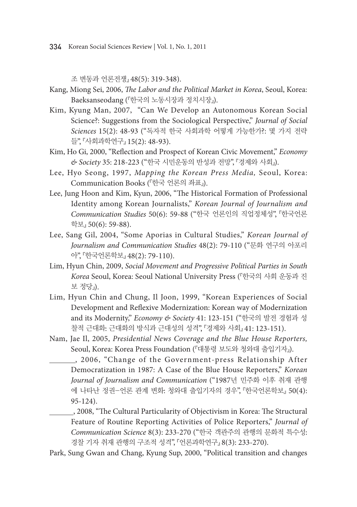조 변동과 언론전쟁』 48(5): 319-348).

- Kang, Miong Sei, 2006, *The Labor and the Political Market in Korea*, Seoul, Korea: Baeksanseodang (『한국의 노동시장과 정치시장』).
- Kim, Kyung Man, 2007, "Can We Develop an Autonomous Korean Social Science?: Suggestions from the Sociological Perspective," *Journal of Social Sciences* 15(2): 48-93 ("독자적 한국 사회과학 어떻게 가능한가?: 몇 가지 전략 들", 『사회과학연구』 15(2): 48-93).
- Kim, Ho Gi, 2000, "Reflection and Prospect of Korean Civic Movement," *Economy & Society* 35: 218-223 ("한국 시민운동의 반성과 전망", 『경제와 사회』).
- Lee, Hyo Seong, 1997, *Mapping the Korean Press Media,* Seoul, Korea: Communication Books (『한국 언론의 좌표』).
- Lee, Jung Hoon and Kim, Kyun, 2006, "The Historical Formation of Professional Identity among Korean Journalists," *Korean Journal of Journalism and Communication Studies* 50(6): 59-88 ("한국 언론인의 직업정체성", 『한국언론 학보』 50(6): 59-88).
- Lee, Sang Gil, 2004, "Some Aporias in Cultural Studies," *Korean Journal of Journalism and Communication Studies* 48(2): 79-110 ("문화 연구의 아포리 아", 『한국언론학보』 48(2): 79-110).
- Lim, Hyun Chin, 2009, *Social Movement and Progressive Political Parties in South Korea* Seoul, Korea: Seoul National University Press (『한국의 사회 운동과 진 보 정당』).
- Lim, Hyun Chin and Chung, Il Joon, 1999, "Korean Experiences of Social Development and Reflexive Modernization: Korean way of Modernization and its Modernity," *Economy & Society* 41: 123-151 ("한국의 발전 경험과 성 찰적 근대화: 근대화의 방식과 근대성의 성격", 『경제와 사회』 41: 123-151).
- Nam, Jae Il, 2005, *Presidential News Coverage and the Blue House Reporters,*  Seoul, Korea: Korea Press Foundation (『대통령 보도와 청와대 출입기자』).
- , 2006, "Change of the Government-press Relationship After Democratization in 1987: A Case of the Blue House Reporters," *Korean Journal of Journalism and Communication* ("1987년 민주화 이후 취재 관행 에 나타난 정권-언론 관계 변화: 청와대 출입기자의 경우", 『한국언론학보』 50(4): 95-124).
- , 2008, "The Cultural Particularity of Objectivism in Korea: The Structural Feature of Routine Reporting Activities of Police Reporters," *Journal of Communication Science* 8(3): 233-270 ("한국 객관주의 관행의 문화적 특수성: 경찰 기자 취재 관행의 구조적 성격", 『언론과학연구』 8(3): 233-270).
- Park, Sung Gwan and Chang, Kyung Sup, 2000, "Political transition and changes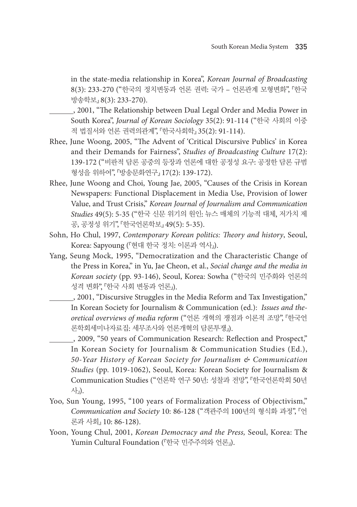in the state-media relationship in Korea", *Korean Journal of Broadcasting*  8(3): 233-270 ("한국의 정치변동과 언론 권력: 국가 – 언론관계 모형변화", 『한국 방송학보』 8(3): 233-270).

- , 2001, "The Relationship between Dual Legal Order and Media Power in South Korea", *Journal of Korean Sociology* 35(2): 91-114 ("한국 사회의 이중 적 법질서와 언론 권력의관계", 『한국사회학』 35(2): 91-114).
- Rhee, June Woong, 2005, "The Advent of 'Critical Discursive Publics' in Korea and their Demands for Fairness", *Studies of Broadcasting Culture* 17(2): 139-172 ("비판적 담론 공중의 등장과 언론에 대한 공정성 요구: 공정한 담론 규범 형성을 위하여", 『방송문화연구』 17(2): 139-172).
- Rhee, June Woong and Choi, Young Jae, 2005, "Causes of the Crisis in Korean Newspapers: Functional Displacement in Media Use, Provision of lower Value, and Trust Crisis," *Korean Journal of Journalism and Communication Studies* 49(5): 5-35 ("한국 신문 위기의 원인: 뉴스 매체의 기능적 대체, 저가치 제 공, 공정성 위기", 『한국언론학보』 49(5): 5-35).
- Sohn, Ho Chul, 1997, *Contemporary Korean politics: Theory and history*, Seoul, Korea: Sapyoung (『현대 한국 정치: 이론과 역사』).
- Yang, Seung Mock, 1995, "Democratization and the Characteristic Change of the Press in Korea," in Yu, Jae Cheon, et al., *Social change and the media in Korean society* (pp. 93-146), Seoul, Korea: Sowha ("한국의 민주화와 언론의 성격 변화", 『한국 사회 변동과 언론』).
	- , 2001, "Discursive Struggles in the Media Reform and Tax Investigation," In Korean Society for Journalism & Communication (ed.): *Issues and theoretical overviews of media reform* ("언론 개혁의 쟁점과 이론적 조망", 『한국언 론학회세미나자료집: 세무조사와 언론개혁의 담론투쟁』).
	- , 2009, "50 years of Communication Research: Reflection and Prospect," In Korean Society for Journalism & Communication Studies (Ed.), *50-Year History of Korean Society for Journalism & Communication Studies* (pp. 1019-1062), Seoul, Korea: Korean Society for Journalism & Communication Studies ("언론학 연구 50년: 성찰과 전망", 『한국언론학회 50년 사』).
- Yoo, Sun Young, 1995, "100 years of Formalization Process of Objectivism," *Communication and Society* 10: 86-128 ("객관주의 100년의 형식화 과정", 『언 론과 사회』 10: 86-128).
- Yoon, Young Chul, 2001, *Korean Democracy and the Press,* Seoul, Korea: The Yumin Cultural Foundation (『한국 민주주의와 언론』).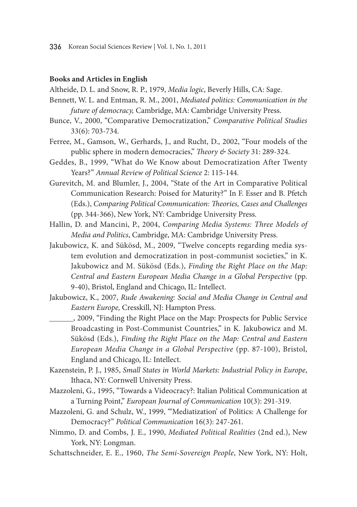#### **Books and Articles in English**

Altheide, D. L. and Snow, R. P., 1979, *Media logic*, Beverly Hills, CA: Sage.

- Bennett, W. L. and Entman, R. M., 2001, *Mediated politics: Communication in the future of democracy,* Cambridge, MA: Cambridge University Press.
- Bunce, V., 2000, "Comparative Democratization," *Comparative Political Studies* 33(6): 703-734.
- Ferree, M., Gamson, W., Gerhards, J., and Rucht, D., 2002, "Four models of the public sphere in modern democracies," *Theory & Society* 31: 289-324.
- Geddes, B., 1999, "What do We Know about Democratization After Twenty Years?" *Annual Review of Political Science* 2: 115-144.
- Gurevitch, M. and Blumler, J., 2004, "State of the Art in Comparative Political Communication Research: Poised for Maturity?" In F. Esser and B. Pfetch (Eds.), *Comparing Political Communication: Theories, Cases and Challenges* (pp. 344-366), New York, NY: Cambridge University Press.
- Hallin, D. and Mancini, P., 2004, *Comparing Media Systems: Three Models of Media and Politics*, Cambridge, MA: Cambridge University Press.
- Jakubowicz, K. and Sükösd, M., 2009, "Twelve concepts regarding media system evolution and democratization in post-communist societies," in K. Jakubowicz and M. Sükösd (Eds.), *Finding the Right Place on the Map: Central and Eastern European Media Change in a Global Perspective* (pp. 9-40), Bristol, England and Chicago, IL: Intellect.
- Jakubowicz, K., 2007, *Rude Awakening: Social and Media Change in Central and Eastern Europe,* Cresskill, NJ: Hampton Press.
	- 5. 2009, "Finding the Right Place on the Map: Prospects for Public Service Broadcasting in Post-Communist Countries," in K. Jakubowicz and M. Sükösd (Eds.), *Finding the Right Place on the Map: Central and Eastern European Media Change in a Global Perspective* (pp. 87-100), Bristol, England and Chicago, IL: Intellect.
- Kazenstein, P. J., 1985, *Small States in World Markets: Industrial Policy in Europe*, Ithaca, NY: Cornwell University Press.
- Mazzoleni, G., 1995, "Towards a Videocracy?: Italian Political Communication at a Turning Point," *European Journal of Communication* 10(3): 291-319.
- Mazzoleni, G. and Schulz, W., 1999, "'Mediatization' of Politics: A Challenge for Democracy?" *Political Communication* 16(3): 247-261.
- Nimmo, D. and Combs, J. E., 1990, *Mediated Political Realities* (2nd ed.), New York, NY: Longman.
- Schattschneider, E. E., 1960, *The Semi-Sovereign People*, New York, NY: Holt,